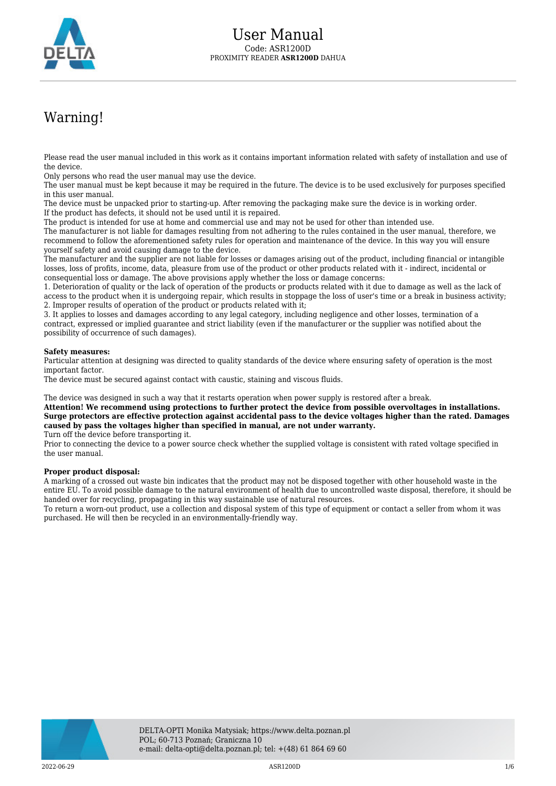

## Warning!

Please read the user manual included in this work as it contains important information related with safety of installation and use of the device.

Only persons who read the user manual may use the device.

The user manual must be kept because it may be required in the future. The device is to be used exclusively for purposes specified in this user manual.

The device must be unpacked prior to starting-up. After removing the packaging make sure the device is in working order. If the product has defects, it should not be used until it is repaired.

The product is intended for use at home and commercial use and may not be used for other than intended use.

The manufacturer is not liable for damages resulting from not adhering to the rules contained in the user manual, therefore, we recommend to follow the aforementioned safety rules for operation and maintenance of the device. In this way you will ensure yourself safety and avoid causing damage to the device.

The manufacturer and the supplier are not liable for losses or damages arising out of the product, including financial or intangible losses, loss of profits, income, data, pleasure from use of the product or other products related with it - indirect, incidental or consequential loss or damage. The above provisions apply whether the loss or damage concerns:

1. Deterioration of quality or the lack of operation of the products or products related with it due to damage as well as the lack of access to the product when it is undergoing repair, which results in stoppage the loss of user's time or a break in business activity; 2. Improper results of operation of the product or products related with it;

3. It applies to losses and damages according to any legal category, including negligence and other losses, termination of a contract, expressed or implied guarantee and strict liability (even if the manufacturer or the supplier was notified about the possibility of occurrence of such damages).

## **Safety measures:**

Particular attention at designing was directed to quality standards of the device where ensuring safety of operation is the most important factor.

The device must be secured against contact with caustic, staining and viscous fluids.

The device was designed in such a way that it restarts operation when power supply is restored after a break.

**Attention! We recommend using protections to further protect the device from possible overvoltages in installations. Surge protectors are effective protection against accidental pass to the device voltages higher than the rated. Damages caused by pass the voltages higher than specified in manual, are not under warranty.**

Turn off the device before transporting it.

Prior to connecting the device to a power source check whether the supplied voltage is consistent with rated voltage specified in the user manual.

## **Proper product disposal:**

A marking of a crossed out waste bin indicates that the product may not be disposed together with other household waste in the entire EU. To avoid possible damage to the natural environment of health due to uncontrolled waste disposal, therefore, it should be handed over for recycling, propagating in this way sustainable use of natural resources.

To return a worn-out product, use a collection and disposal system of this type of equipment or contact a seller from whom it was purchased. He will then be recycled in an environmentally-friendly way.

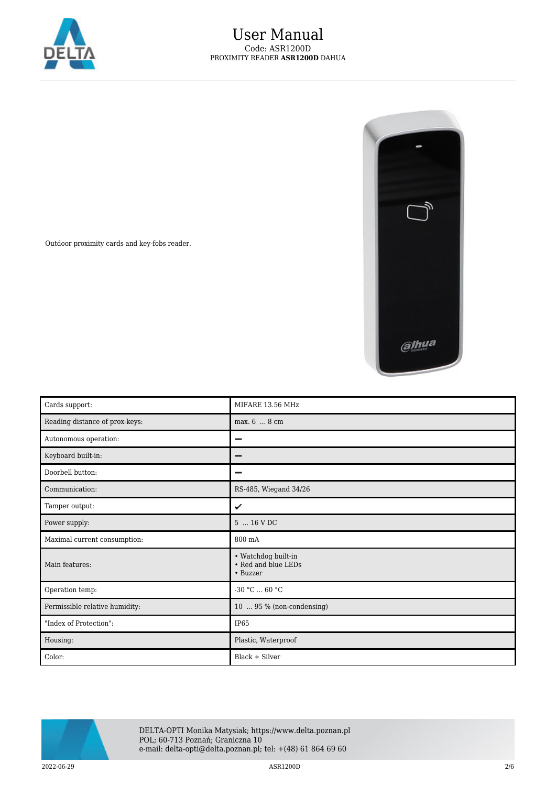



Outdoor proximity cards and key-fobs reader.

| Cards support:                 | MIFARE 13.56 MHz                                       |
|--------------------------------|--------------------------------------------------------|
| Reading distance of prox-keys: | max. 6  8 cm                                           |
| Autonomous operation:          | -                                                      |
| Keyboard built-in:             | -                                                      |
| Doorbell button:               |                                                        |
| Communication:                 | RS-485, Wiegand 34/26                                  |
| Tamper output:                 | ✓                                                      |
| Power supply:                  | 5  16 V DC                                             |
| Maximal current consumption:   | 800 mA                                                 |
| Main features:                 | • Watchdog built-in<br>• Red and blue LEDs<br>• Buzzer |
| Operation temp:                | $-30 °C  60 °C$                                        |
| Permissible relative humidity: | 10  95 % (non-condensing)                              |
| "Index of Protection":         | IP <sub>65</sub>                                       |
| Housing:                       | Plastic, Waterproof                                    |
| Color:                         | Black + Silver                                         |



DELTA-OPTI Monika Matysiak; https://www.delta.poznan.pl POL; 60-713 Poznań; Graniczna 10 e-mail: delta-opti@delta.poznan.pl; tel: +(48) 61 864 69 60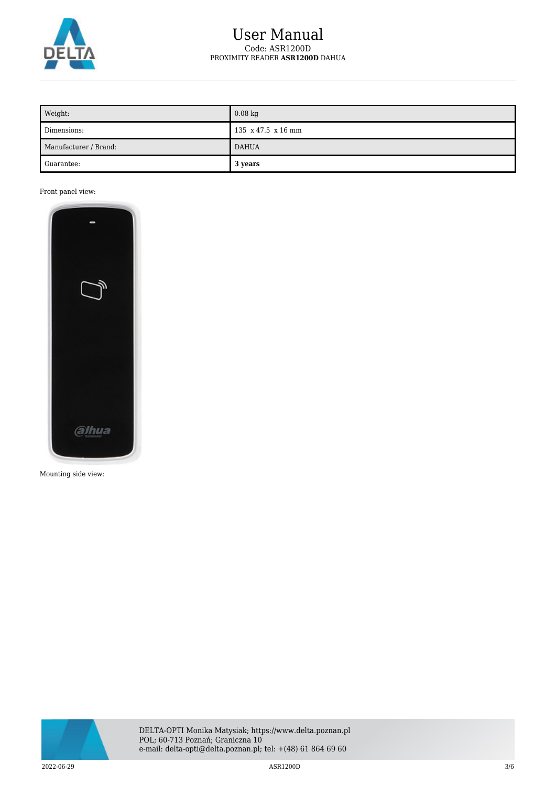

## User Manual Code: ASR1200D PROXIMITY READER **ASR1200D** DAHUA

| Weight:               | $0.08$ kg                              |
|-----------------------|----------------------------------------|
| Dimensions:           | $135 \times 47.5 \times 16 \text{ mm}$ |
| Manufacturer / Brand: | <b>DAHUA</b>                           |
| Guarantee:            | 3 years                                |

Front panel view:



Mounting side view:

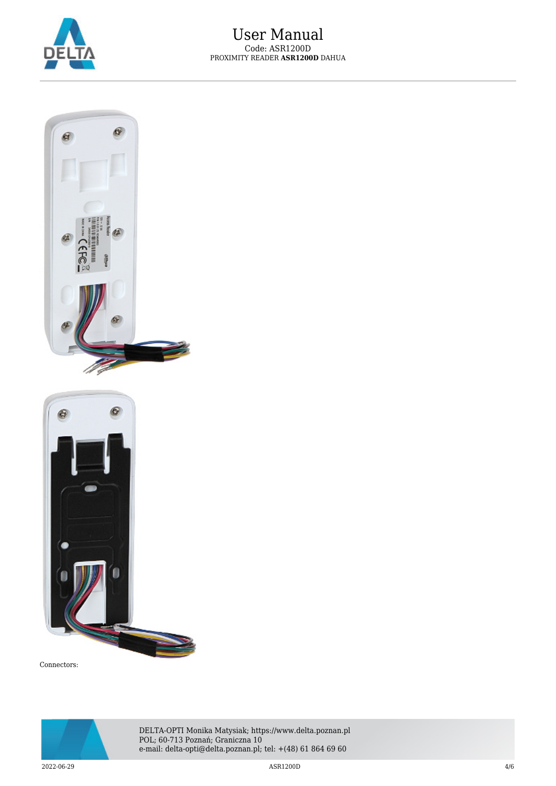





Connectors:



DELTA-OPTI Monika Matysiak; https://www.delta.poznan.pl POL; 60-713 Poznań; Graniczna 10 e-mail: delta-opti@delta.poznan.pl; tel: +(48) 61 864 69 60

 $2022{\cdot}06{\cdot}29$   $4/6$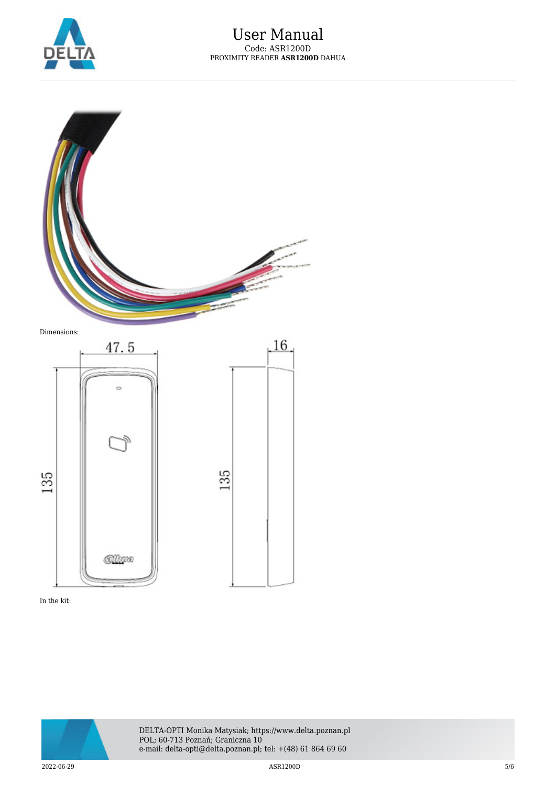

 $.16.$ 



Dimensions:



In the kit:



DELTA-OPTI Monika Matysiak; https://www.delta.poznan.pl POL; 60-713 Poznań; Graniczna 10 e-mail: delta-opti@delta.poznan.pl; tel: +(48) 61 864 69 60

 $2022$ -06-29  $5/6$